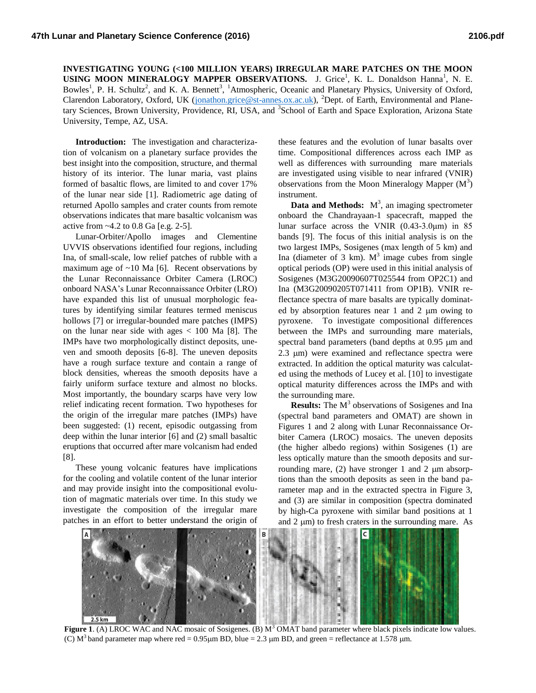**INVESTIGATING YOUNG (<100 MILLION YEARS) IRREGULAR MARE PATCHES ON THE MOON**  USING MOON MINERALOGY MAPPER OBSERVATIONS. J. Grice<sup>1</sup>, K. L. Donaldson Hanna<sup>1</sup>, N. E. Bowles<sup>1</sup>, P. H. Schultz<sup>2</sup>, and K. A. Bennett<sup>3</sup>, <sup>1</sup>Atmospheric, Oceanic and Planetary Physics, University of Oxford, Clarendon Laboratory, Oxford, UK [\(jonathon.grice@st-annes.ox.ac.uk\)](mailto:jonathon.grice@st-annes.ox.ac.uk), <sup>2</sup>Dept. of Earth, Environmental and Planetary Sciences, Brown University, Providence, RI, USA, and <sup>3</sup>School of Earth and Space Exploration, Arizona State University, Tempe, AZ, USA.

**Introduction:** The investigation and characterization of volcanism on a planetary surface provides the best insight into the composition, structure, and thermal history of its interior. The lunar maria, vast plains formed of basaltic flows, are limited to and cover 17% of the lunar near side [1]. Radiometric age dating of returned Apollo samples and crater counts from remote observations indicates that mare basaltic volcanism was active from ~4.2 to 0.8 Ga [e.g. 2-5].

Lunar-Orbiter/Apollo images and Clementine UVVIS observations identified four regions, including Ina, of small-scale, low relief patches of rubble with a maximum age of  $~10$  Ma [6]. Recent observations by the Lunar Reconnaissance Orbiter Camera (LROC) onboard NASA's Lunar Reconnaissance Orbiter (LRO) have expanded this list of unusual morphologic features by identifying similar features termed meniscus hollows [7] or irregular-bounded mare patches (IMPS) on the lunar near side with ages  $< 100$  Ma [8]. The IMPs have two morphologically distinct deposits, uneven and smooth deposits [6-8]. The uneven deposits have a rough surface texture and contain a range of block densities, whereas the smooth deposits have a fairly uniform surface texture and almost no blocks. Most importantly, the boundary scarps have very low relief indicating recent formation. Two hypotheses for the origin of the irregular mare patches (IMPs) have been suggested: (1) recent, episodic outgassing from deep within the lunar interior [6] and (2) small basaltic eruptions that occurred after mare volcanism had ended [8].

These young volcanic features have implications for the cooling and volatile content of the lunar interior and may provide insight into the compositional evolution of magmatic materials over time. In this study we investigate the composition of the irregular mare patches in an effort to better understand the origin of

these features and the evolution of lunar basalts over time. Compositional differences across each IMP as well as differences with surrounding mare materials are investigated using visible to near infrared (VNIR) observations from the Moon Mineralogy Mapper  $(M<sup>3</sup>)$ instrument.

**Data and Methods:**  $M^3$ , an imaging spectrometer onboard the Chandrayaan-1 spacecraft, mapped the lunar surface across the VNIR (0.43-3.0μm) in 85 bands [9]. The focus of this initial analysis is on the two largest IMPs, Sosigenes (max length of 5 km) and Ina (diameter of 3 km).  $M^3$  image cubes from single optical periods (OP) were used in this initial analysis of Sosigenes (M3G20090607T025544 from OP2C1) and Ina (M3G20090205T071411 from OP1B). VNIR reflectance spectra of mare basalts are typically dominated by absorption features near  $1$  and  $2 \mu m$  owing to pyroxene. To investigate compositional differences between the IMPs and surrounding mare materials, spectral band parameters (band depths at  $0.95 \mu m$  and 2.3 µm) were examined and reflectance spectra were extracted. In addition the optical maturity was calculated using the methods of Lucey et al. [10] to investigate optical maturity differences across the IMPs and with the surrounding mare.

**Results:** The M<sup>3</sup> observations of Sosigenes and Ina (spectral band parameters and OMAT) are shown in Figures 1 and 2 along with Lunar Reconnaissance Orbiter Camera (LROC) mosaics. The uneven deposits (the higher albedo regions) within Sosigenes (1) are less optically mature than the smooth deposits and surrounding mare,  $(2)$  have stronger 1 and 2  $\mu$ m absorptions than the smooth deposits as seen in the band parameter map and in the extracted spectra in Figure 3, and (3) are similar in composition (spectra dominated by high-Ca pyroxene with similar band positions at 1 and  $2 \mu$ m) to fresh craters in the surrounding mare. As



**Figure 1**. (A) LROC WAC and NAC mosaic of Sosigenes. (B) M<sup>3</sup> OMAT band parameter where black pixels indicate low values. (C)  $M<sup>3</sup>$  band parameter map where red = 0.95 µm BD, blue = 2.3 µm BD, and green = reflectance at 1.578 µm.